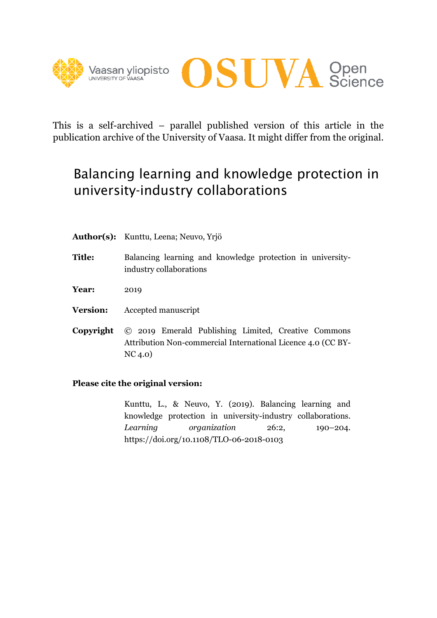



This is a self-archived – parallel published version of this article in the publication archive of the University of Vaasa. It might differ from the original.

# Balancing learning and knowledge protection in university-industry collaborations

| <b>Author(s):</b> Kunttu, Leena; Neuvo, Yrjö |  |
|----------------------------------------------|--|
|                                              |  |

**Title:** Balancing learning and knowledge protection in universityindustry collaborations

**Year:** 2019

- **Version:** Accepted manuscript
- **Copyright** © 2019 Emerald Publishing Limited, Creative Commons Attribution Non-commercial International Licence 4.0 (CC BY-NC 4.0)

## **Please cite the original version:**

Kunttu, L., & Neuvo, Y. (2019). Balancing learning and knowledge protection in university-industry collaborations. *Learning organization* 26:2, 190–204. https://doi.org/10.1108/TLO-06-2018-0103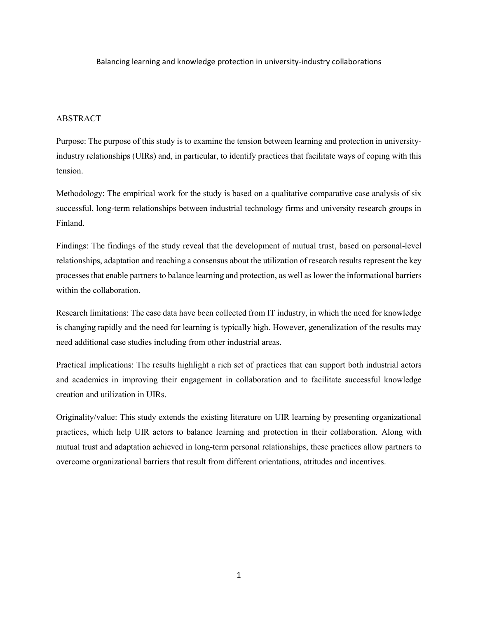Balancing learning and knowledge protection in university-industry collaborations

#### ABSTRACT

Purpose: The purpose of this study is to examine the tension between learning and protection in universityindustry relationships (UIRs) and, in particular, to identify practices that facilitate ways of coping with this tension.

Methodology: The empirical work for the study is based on a qualitative comparative case analysis of six successful, long-term relationships between industrial technology firms and university research groups in Finland.

Findings: The findings of the study reveal that the development of mutual trust, based on personal-level relationships, adaptation and reaching a consensus about the utilization of research results represent the key processes that enable partners to balance learning and protection, as well as lower the informational barriers within the collaboration.

Research limitations: The case data have been collected from IT industry, in which the need for knowledge is changing rapidly and the need for learning is typically high. However, generalization of the results may need additional case studies including from other industrial areas.

Practical implications: The results highlight a rich set of practices that can support both industrial actors and academics in improving their engagement in collaboration and to facilitate successful knowledge creation and utilization in UIRs.

Originality/value: This study extends the existing literature on UIR learning by presenting organizational practices, which help UIR actors to balance learning and protection in their collaboration. Along with mutual trust and adaptation achieved in long-term personal relationships, these practices allow partners to overcome organizational barriers that result from different orientations, attitudes and incentives.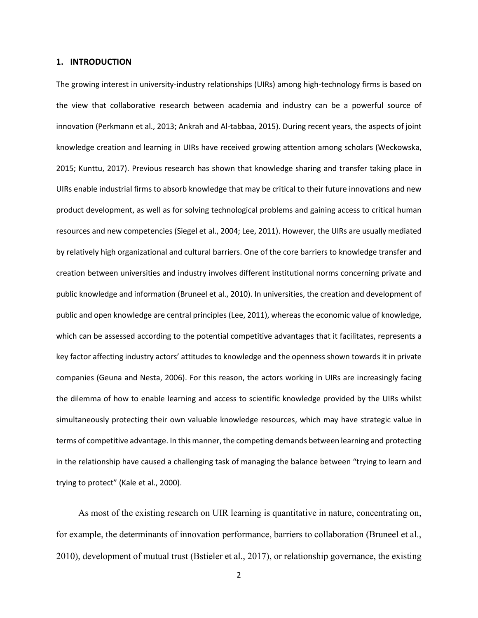#### **1. INTRODUCTION**

The growing interest in university-industry relationships (UIRs) among high-technology firms is based on the view that collaborative research between academia and industry can be a powerful source of innovation (Perkmann et al., 2013; Ankrah and Al-tabbaa, 2015). During recent years, the aspects of joint knowledge creation and learning in UIRs have received growing attention among scholars (Weckowska, 2015; Kunttu, 2017). Previous research has shown that knowledge sharing and transfer taking place in UIRs enable industrial firms to absorb knowledge that may be critical to their future innovations and new product development, as well as for solving technological problems and gaining access to critical human resources and new competencies (Siegel et al., 2004; Lee, 2011). However, the UIRs are usually mediated by relatively high organizational and cultural barriers. One of the core barriers to knowledge transfer and creation between universities and industry involves different institutional norms concerning private and public knowledge and information (Bruneel et al., 2010). In universities, the creation and development of public and open knowledge are central principles (Lee, 2011), whereas the economic value of knowledge, which can be assessed according to the potential competitive advantages that it facilitates, represents a key factor affecting industry actors' attitudes to knowledge and the openness shown towards it in private companies (Geuna and Nesta, 2006). For this reason, the actors working in UIRs are increasingly facing the dilemma of how to enable learning and access to scientific knowledge provided by the UIRs whilst simultaneously protecting their own valuable knowledge resources, which may have strategic value in terms of competitive advantage. In this manner, the competing demands between learning and protecting in the relationship have caused a challenging task of managing the balance between "trying to learn and trying to protect" (Kale et al., 2000).

As most of the existing research on UIR learning is quantitative in nature, concentrating on, for example, the determinants of innovation performance, barriers to collaboration (Bruneel et al., 2010), development of mutual trust (Bstieler et al., 2017), or relationship governance, the existing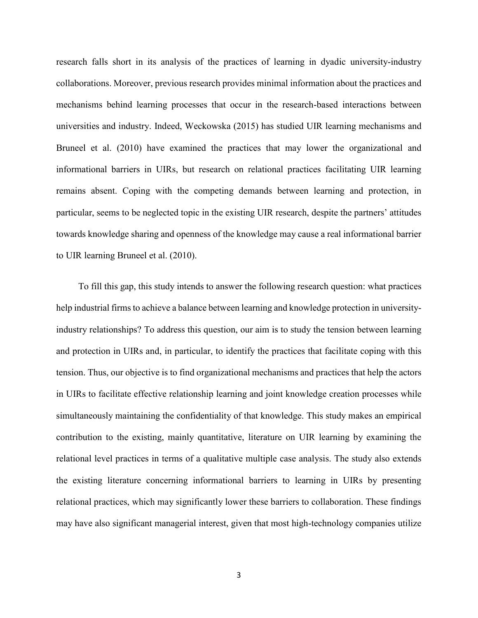research falls short in its analysis of the practices of learning in dyadic university-industry collaborations. Moreover, previous research provides minimal information about the practices and mechanisms behind learning processes that occur in the research-based interactions between universities and industry. Indeed, Weckowska (2015) has studied UIR learning mechanisms and Bruneel et al. (2010) have examined the practices that may lower the organizational and informational barriers in UIRs, but research on relational practices facilitating UIR learning remains absent. Coping with the competing demands between learning and protection, in particular, seems to be neglected topic in the existing UIR research, despite the partners' attitudes towards knowledge sharing and openness of the knowledge may cause a real informational barrier to UIR learning Bruneel et al. (2010).

To fill this gap, this study intends to answer the following research question: what practices help industrial firms to achieve a balance between learning and knowledge protection in universityindustry relationships? To address this question, our aim is to study the tension between learning and protection in UIRs and, in particular, to identify the practices that facilitate coping with this tension. Thus, our objective is to find organizational mechanisms and practices that help the actors in UIRs to facilitate effective relationship learning and joint knowledge creation processes while simultaneously maintaining the confidentiality of that knowledge. This study makes an empirical contribution to the existing, mainly quantitative, literature on UIR learning by examining the relational level practices in terms of a qualitative multiple case analysis. The study also extends the existing literature concerning informational barriers to learning in UIRs by presenting relational practices, which may significantly lower these barriers to collaboration. These findings may have also significant managerial interest, given that most high-technology companies utilize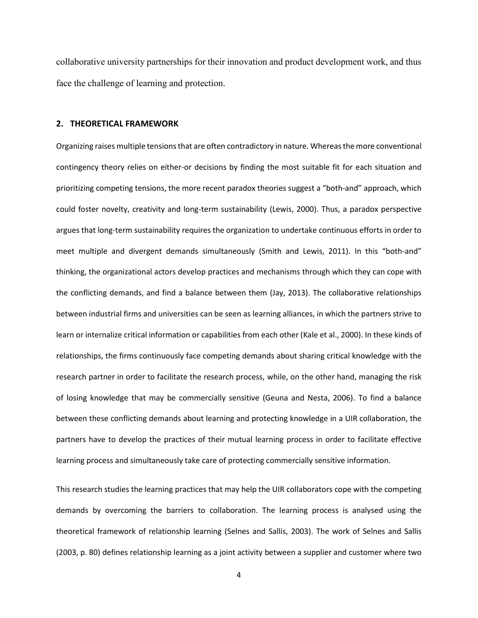collaborative university partnerships for their innovation and product development work, and thus face the challenge of learning and protection.

#### **2. THEORETICAL FRAMEWORK**

Organizing raises multiple tensions that are often contradictory in nature. Whereas the more conventional contingency theory relies on either-or decisions by finding the most suitable fit for each situation and prioritizing competing tensions, the more recent paradox theories suggest a "both-and" approach, which could foster novelty, creativity and long-term sustainability (Lewis, 2000). Thus, a paradox perspective argues that long-term sustainability requires the organization to undertake continuous efforts in order to meet multiple and divergent demands simultaneously (Smith and Lewis, 2011). In this "both-and" thinking, the organizational actors develop practices and mechanisms through which they can cope with the conflicting demands, and find a balance between them (Jay, 2013). The collaborative relationships between industrial firms and universities can be seen as learning alliances, in which the partners strive to learn or internalize critical information or capabilities from each other (Kale et al., 2000). In these kinds of relationships, the firms continuously face competing demands about sharing critical knowledge with the research partner in order to facilitate the research process, while, on the other hand, managing the risk of losing knowledge that may be commercially sensitive (Geuna and Nesta, 2006). To find a balance between these conflicting demands about learning and protecting knowledge in a UIR collaboration, the partners have to develop the practices of their mutual learning process in order to facilitate effective learning process and simultaneously take care of protecting commercially sensitive information.

This research studies the learning practices that may help the UIR collaborators cope with the competing demands by overcoming the barriers to collaboration. The learning process is analysed using the theoretical framework of relationship learning (Selnes and Sallis, 2003). The work of Selnes and Sallis (2003, p. 80) defines relationship learning as a joint activity between a supplier and customer where two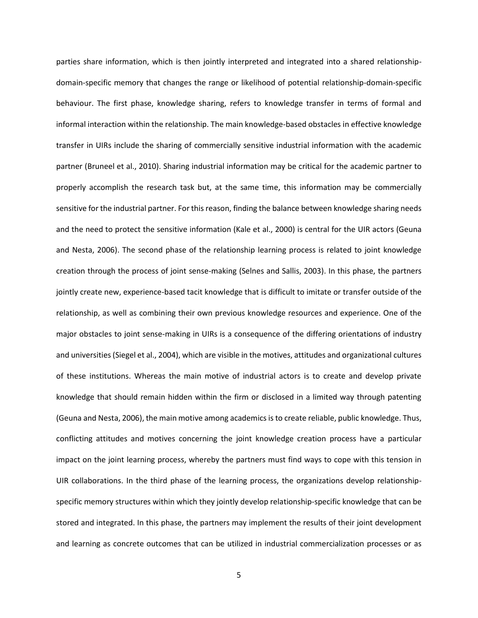parties share information, which is then jointly interpreted and integrated into a shared relationshipdomain-specific memory that changes the range or likelihood of potential relationship-domain-specific behaviour. The first phase, knowledge sharing, refers to knowledge transfer in terms of formal and informal interaction within the relationship. The main knowledge-based obstacles in effective knowledge transfer in UIRs include the sharing of commercially sensitive industrial information with the academic partner (Bruneel et al., 2010). Sharing industrial information may be critical for the academic partner to properly accomplish the research task but, at the same time, this information may be commercially sensitive for the industrial partner. For this reason, finding the balance between knowledge sharing needs and the need to protect the sensitive information (Kale et al., 2000) is central for the UIR actors (Geuna and Nesta, 2006). The second phase of the relationship learning process is related to joint knowledge creation through the process of joint sense-making (Selnes and Sallis, 2003). In this phase, the partners jointly create new, experience-based tacit knowledge that is difficult to imitate or transfer outside of the relationship, as well as combining their own previous knowledge resources and experience. One of the major obstacles to joint sense-making in UIRs is a consequence of the differing orientations of industry and universities (Siegel et al., 2004), which are visible in the motives, attitudes and organizational cultures of these institutions. Whereas the main motive of industrial actors is to create and develop private knowledge that should remain hidden within the firm or disclosed in a limited way through patenting (Geuna and Nesta, 2006), the main motive among academics is to create reliable, public knowledge. Thus, conflicting attitudes and motives concerning the joint knowledge creation process have a particular impact on the joint learning process, whereby the partners must find ways to cope with this tension in UIR collaborations. In the third phase of the learning process, the organizations develop relationshipspecific memory structures within which they jointly develop relationship-specific knowledge that can be stored and integrated. In this phase, the partners may implement the results of their joint development and learning as concrete outcomes that can be utilized in industrial commercialization processes or as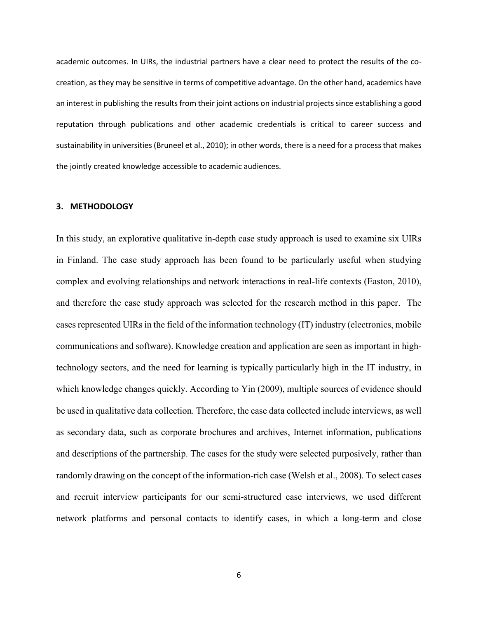academic outcomes. In UIRs, the industrial partners have a clear need to protect the results of the cocreation, as they may be sensitive in terms of competitive advantage. On the other hand, academics have an interest in publishing the results from their joint actions on industrial projects since establishing a good reputation through publications and other academic credentials is critical to career success and sustainability in universities (Bruneel et al., 2010); in other words, there is a need for a process that makes the jointly created knowledge accessible to academic audiences.

#### **3. METHODOLOGY**

In this study, an explorative qualitative in-depth case study approach is used to examine six UIRs in Finland. The case study approach has been found to be particularly useful when studying complex and evolving relationships and network interactions in real-life contexts (Easton, 2010), and therefore the case study approach was selected for the research method in this paper. The cases represented UIRs in the field of the information technology (IT) industry (electronics, mobile communications and software). Knowledge creation and application are seen as important in hightechnology sectors, and the need for learning is typically particularly high in the IT industry, in which knowledge changes quickly. According to Yin (2009), multiple sources of evidence should be used in qualitative data collection. Therefore, the case data collected include interviews, as well as secondary data, such as corporate brochures and archives, Internet information, publications and descriptions of the partnership. The cases for the study were selected purposively, rather than randomly drawing on the concept of the information-rich case (Welsh et al., 2008). To select cases and recruit interview participants for our semi-structured case interviews, we used different network platforms and personal contacts to identify cases, in which a long-term and close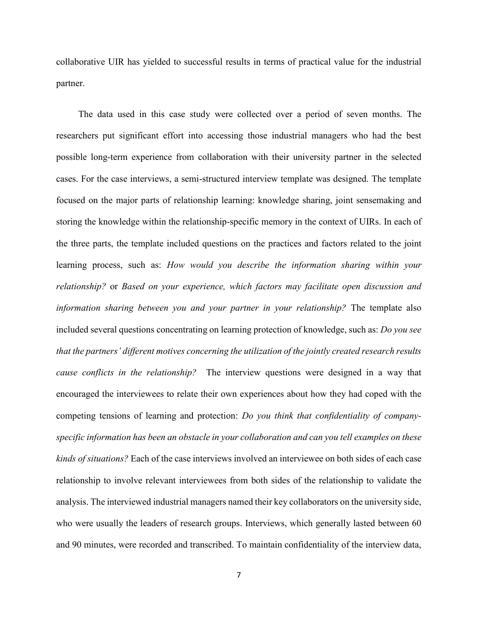collaborative UIR has yielded to successful results in terms of practical value for the industrial partner.

The data used in this case study were collected over a period of seven months. The researchers put significant effort into accessing those industrial managers who had the best possible long-term experience from collaboration with their university partner in the selected cases. For the case interviews, a semi-structured interview template was designed. The template focused on the major parts of relationship learning: knowledge sharing, joint sensemaking and storing the knowledge within the relationship-specific memory in the context of UIRs. In each of the three parts, the template included questions on the practices and factors related to the joint learning process, such as: *How would you describe the information sharing within your relationship?* or *Based on your experience, which factors may facilitate open discussion and information sharing between you and your partner in your relationship?* The template also included several questions concentrating on learning protection of knowledge, such as: *Do you see that the partners' different motives concerning the utilization of the jointly created research results cause conflicts in the relationship?* The interview questions were designed in a way that encouraged the interviewees to relate their own experiences about how they had coped with the competing tensions of learning and protection: *Do you think that confidentiality of companyspecific information has been an obstacle in your collaboration and can you tell examples on these kinds of situations?* Each of the case interviews involved an interviewee on both sides of each case relationship to involve relevant interviewees from both sides of the relationship to validate the analysis. The interviewed industrial managers named their key collaborators on the university side, who were usually the leaders of research groups. Interviews, which generally lasted between 60 and 90 minutes, were recorded and transcribed. To maintain confidentiality of the interview data,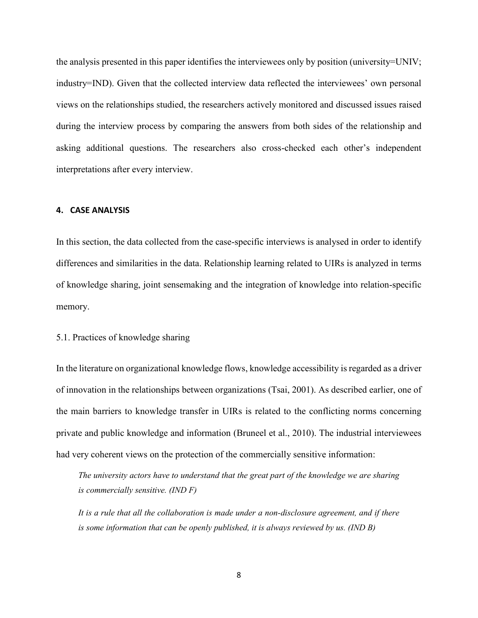the analysis presented in this paper identifies the interviewees only by position (university=UNIV; industry=IND). Given that the collected interview data reflected the interviewees' own personal views on the relationships studied, the researchers actively monitored and discussed issues raised during the interview process by comparing the answers from both sides of the relationship and asking additional questions. The researchers also cross-checked each other's independent interpretations after every interview.

### **4. CASE ANALYSIS**

In this section, the data collected from the case-specific interviews is analysed in order to identify differences and similarities in the data. Relationship learning related to UIRs is analyzed in terms of knowledge sharing, joint sensemaking and the integration of knowledge into relation-specific memory.

#### 5.1. Practices of knowledge sharing

In the literature on organizational knowledge flows, knowledge accessibility is regarded as a driver of innovation in the relationships between organizations (Tsai, 2001). As described earlier, one of the main barriers to knowledge transfer in UIRs is related to the conflicting norms concerning private and public knowledge and information (Bruneel et al., 2010). The industrial interviewees had very coherent views on the protection of the commercially sensitive information:

*The university actors have to understand that the great part of the knowledge we are sharing is commercially sensitive. (IND F)*

*It is a rule that all the collaboration is made under a non-disclosure agreement, and if there is some information that can be openly published, it is always reviewed by us. (IND B)*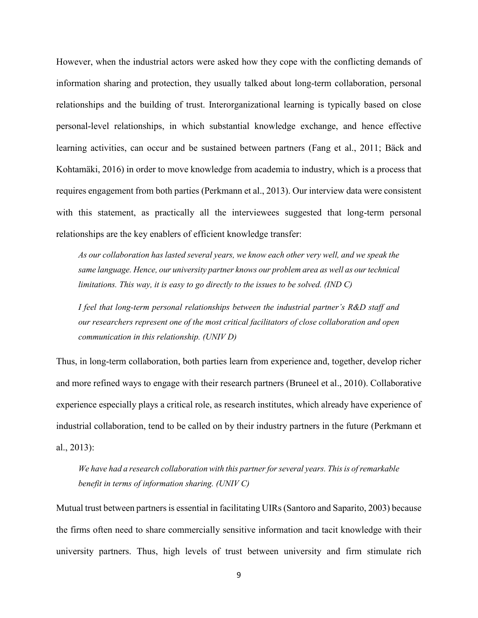However, when the industrial actors were asked how they cope with the conflicting demands of information sharing and protection, they usually talked about long-term collaboration, personal relationships and the building of trust. Interorganizational learning is typically based on close personal-level relationships, in which substantial knowledge exchange, and hence effective learning activities, can occur and be sustained between partners (Fang et al., 2011; Bäck and Kohtamäki, 2016) in order to move knowledge from academia to industry, which is a process that requires engagement from both parties (Perkmann et al., 2013). Our interview data were consistent with this statement, as practically all the interviewees suggested that long-term personal relationships are the key enablers of efficient knowledge transfer:

*As our collaboration has lasted several years, we know each other very well, and we speak the same language. Hence, our university partner knows our problem area as well as our technical limitations. This way, it is easy to go directly to the issues to be solved. (IND C)*

*I feel that long-term personal relationships between the industrial partner's R&D staff and our researchers represent one of the most critical facilitators of close collaboration and open communication in this relationship. (UNIV D)* 

Thus, in long-term collaboration, both parties learn from experience and, together, develop richer and more refined ways to engage with their research partners (Bruneel et al., 2010). Collaborative experience especially plays a critical role, as research institutes, which already have experience of industrial collaboration, tend to be called on by their industry partners in the future (Perkmann et al., 2013):

*We have had a research collaboration with this partner for several years. This is of remarkable benefit in terms of information sharing. (UNIV C)*

Mutual trust between partners is essential in facilitating UIRs (Santoro and Saparito, 2003) because the firms often need to share commercially sensitive information and tacit knowledge with their university partners. Thus, high levels of trust between university and firm stimulate rich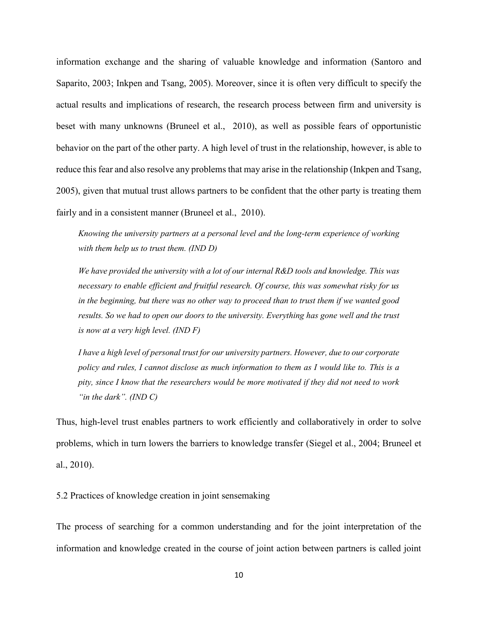information exchange and the sharing of valuable knowledge and information (Santoro and Saparito, 2003; Inkpen and Tsang, 2005). Moreover, since it is often very difficult to specify the actual results and implications of research, the research process between firm and university is beset with many unknowns (Bruneel et al., 2010), as well as possible fears of opportunistic behavior on the part of the other party. A high level of trust in the relationship, however, is able to reduce this fear and also resolve any problems that may arise in the relationship (Inkpen and Tsang, 2005), given that mutual trust allows partners to be confident that the other party is treating them fairly and in a consistent manner (Bruneel et al., 2010).

*Knowing the university partners at a personal level and the long-term experience of working with them help us to trust them. (IND D)*

*We have provided the university with a lot of our internal R&D tools and knowledge. This was necessary to enable efficient and fruitful research. Of course, this was somewhat risky for us in the beginning, but there was no other way to proceed than to trust them if we wanted good results. So we had to open our doors to the university. Everything has gone well and the trust is now at a very high level. (IND F)*

*I have a high level of personal trust for our university partners. However, due to our corporate policy and rules, I cannot disclose as much information to them as I would like to. This is a pity, since I know that the researchers would be more motivated if they did not need to work "in the dark". (IND C)*

Thus, high-level trust enables partners to work efficiently and collaboratively in order to solve problems, which in turn lowers the barriers to knowledge transfer (Siegel et al., 2004; Bruneel et al., 2010).

5.2 Practices of knowledge creation in joint sensemaking

The process of searching for a common understanding and for the joint interpretation of the information and knowledge created in the course of joint action between partners is called joint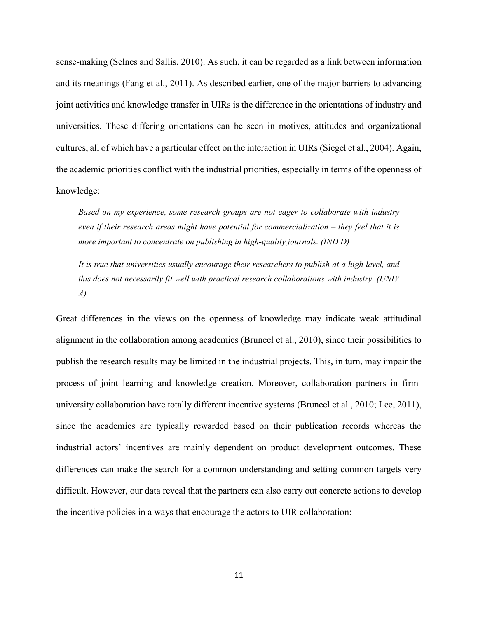sense-making (Selnes and Sallis, 2010). As such, it can be regarded as a link between information and its meanings (Fang et al., 2011). As described earlier, one of the major barriers to advancing joint activities and knowledge transfer in UIRs is the difference in the orientations of industry and universities. These differing orientations can be seen in motives, attitudes and organizational cultures, all of which have a particular effect on the interaction in UIRs (Siegel et al., 2004). Again, the academic priorities conflict with the industrial priorities, especially in terms of the openness of knowledge:

*Based on my experience, some research groups are not eager to collaborate with industry even if their research areas might have potential for commercialization – they feel that it is more important to concentrate on publishing in high-quality journals. (IND D)*

*It is true that universities usually encourage their researchers to publish at a high level, and this does not necessarily fit well with practical research collaborations with industry. (UNIV A)*

Great differences in the views on the openness of knowledge may indicate weak attitudinal alignment in the collaboration among academics (Bruneel et al., 2010), since their possibilities to publish the research results may be limited in the industrial projects. This, in turn, may impair the process of joint learning and knowledge creation. Moreover, collaboration partners in firmuniversity collaboration have totally different incentive systems (Bruneel et al., 2010; Lee, 2011), since the academics are typically rewarded based on their publication records whereas the industrial actors' incentives are mainly dependent on product development outcomes. These differences can make the search for a common understanding and setting common targets very difficult. However, our data reveal that the partners can also carry out concrete actions to develop the incentive policies in a ways that encourage the actors to UIR collaboration: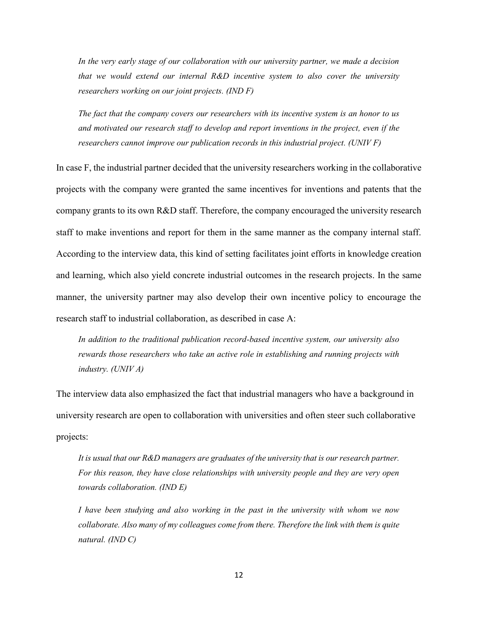*In the very early stage of our collaboration with our university partner, we made a decision that we would extend our internal R&D incentive system to also cover the university researchers working on our joint projects. (IND F)*

*The fact that the company covers our researchers with its incentive system is an honor to us and motivated our research staff to develop and report inventions in the project, even if the researchers cannot improve our publication records in this industrial project. (UNIV F)*

In case F, the industrial partner decided that the university researchers working in the collaborative projects with the company were granted the same incentives for inventions and patents that the company grants to its own R&D staff. Therefore, the company encouraged the university research staff to make inventions and report for them in the same manner as the company internal staff. According to the interview data, this kind of setting facilitates joint efforts in knowledge creation and learning, which also yield concrete industrial outcomes in the research projects. In the same manner, the university partner may also develop their own incentive policy to encourage the research staff to industrial collaboration, as described in case A:

*In addition to the traditional publication record-based incentive system, our university also rewards those researchers who take an active role in establishing and running projects with industry. (UNIV A)* 

The interview data also emphasized the fact that industrial managers who have a background in university research are open to collaboration with universities and often steer such collaborative projects:

*It is usual that our R&D managers are graduates of the university that is our research partner. For this reason, they have close relationships with university people and they are very open towards collaboration. (IND E)*

*I have been studying and also working in the past in the university with whom we now collaborate. Also many of my colleagues come from there. Therefore the link with them is quite natural. (IND C)*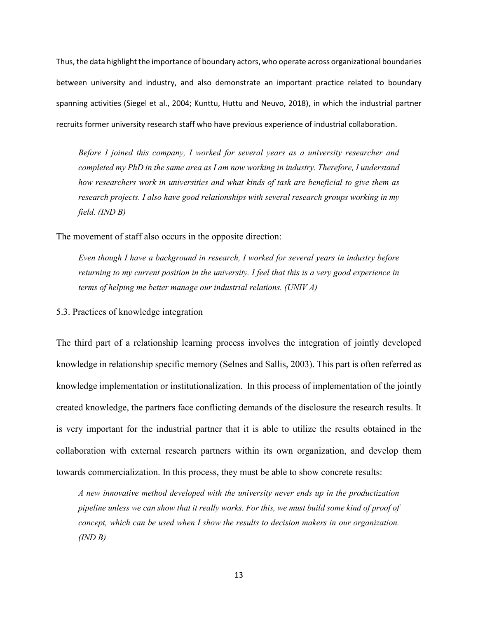Thus, the data highlight the importance of boundary actors, who operate across organizational boundaries between university and industry, and also demonstrate an important practice related to boundary spanning activities (Siegel et al., 2004; Kunttu, Huttu and Neuvo, 2018), in which the industrial partner recruits former university research staff who have previous experience of industrial collaboration.

*Before I joined this company, I worked for several years as a university researcher and completed my PhD in the same area as I am now working in industry. Therefore, I understand how researchers work in universities and what kinds of task are beneficial to give them as research projects. I also have good relationships with several research groups working in my field. (IND B)*

The movement of staff also occurs in the opposite direction:

*Even though I have a background in research, I worked for several years in industry before returning to my current position in the university. I feel that this is a very good experience in terms of helping me better manage our industrial relations. (UNIV A)*

5.3. Practices of knowledge integration

The third part of a relationship learning process involves the integration of jointly developed knowledge in relationship specific memory (Selnes and Sallis, 2003). This part is often referred as knowledge implementation or institutionalization. In this process of implementation of the jointly created knowledge, the partners face conflicting demands of the disclosure the research results. It is very important for the industrial partner that it is able to utilize the results obtained in the collaboration with external research partners within its own organization, and develop them towards commercialization. In this process, they must be able to show concrete results:

*A new innovative method developed with the university never ends up in the productization pipeline unless we can show that it really works. For this, we must build some kind of proof of concept, which can be used when I show the results to decision makers in our organization. (IND B)*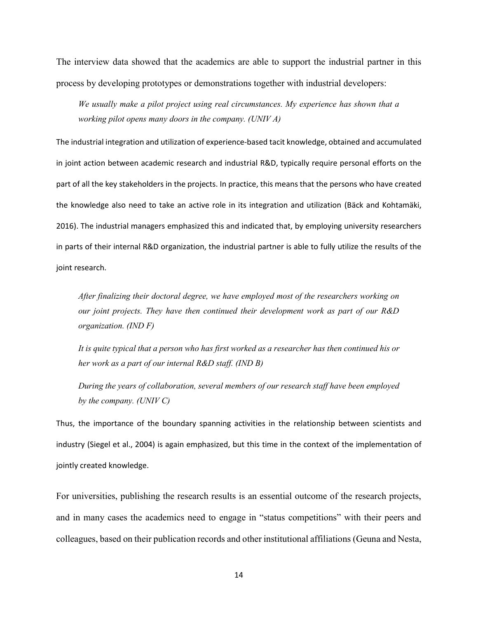The interview data showed that the academics are able to support the industrial partner in this process by developing prototypes or demonstrations together with industrial developers:

*We usually make a pilot project using real circumstances. My experience has shown that a working pilot opens many doors in the company. (UNIV A)*

The industrial integration and utilization of experience-based tacit knowledge, obtained and accumulated in joint action between academic research and industrial R&D, typically require personal efforts on the part of all the key stakeholders in the projects. In practice, this means that the persons who have created the knowledge also need to take an active role in its integration and utilization (Bäck and Kohtamäki, 2016). The industrial managers emphasized this and indicated that, by employing university researchers in parts of their internal R&D organization, the industrial partner is able to fully utilize the results of the joint research.

*After finalizing their doctoral degree, we have employed most of the researchers working on our joint projects. They have then continued their development work as part of our R&D organization. (IND F)*

*It is quite typical that a person who has first worked as a researcher has then continued his or her work as a part of our internal R&D staff. (IND B)*

*During the years of collaboration, several members of our research staff have been employed by the company. (UNIV C)*

Thus, the importance of the boundary spanning activities in the relationship between scientists and industry (Siegel et al., 2004) is again emphasized, but this time in the context of the implementation of jointly created knowledge.

For universities, publishing the research results is an essential outcome of the research projects, and in many cases the academics need to engage in "status competitions" with their peers and colleagues, based on their publication records and other institutional affiliations (Geuna and Nesta,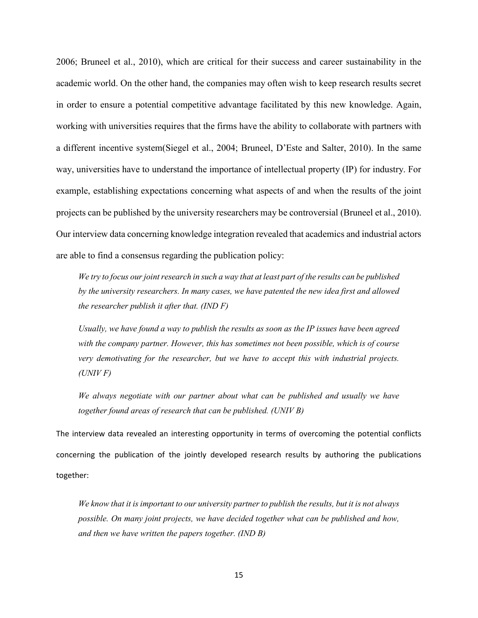2006; Bruneel et al., 2010), which are critical for their success and career sustainability in the academic world. On the other hand, the companies may often wish to keep research results secret in order to ensure a potential competitive advantage facilitated by this new knowledge. Again, working with universities requires that the firms have the ability to collaborate with partners with a different incentive system(Siegel et al., 2004; Bruneel, D'Este and Salter, 2010). In the same way, universities have to understand the importance of intellectual property (IP) for industry. For example, establishing expectations concerning what aspects of and when the results of the joint projects can be published by the university researchers may be controversial (Bruneel et al., 2010). Our interview data concerning knowledge integration revealed that academics and industrial actors are able to find a consensus regarding the publication policy:

*We try to focus our joint research in such a way that at least part of the results can be published by the university researchers. In many cases, we have patented the new idea first and allowed the researcher publish it after that. (IND F)*

*Usually, we have found a way to publish the results as soon as the IP issues have been agreed with the company partner. However, this has sometimes not been possible, which is of course very demotivating for the researcher, but we have to accept this with industrial projects. (UNIV F)*

*We always negotiate with our partner about what can be published and usually we have together found areas of research that can be published. (UNIV B)*

The interview data revealed an interesting opportunity in terms of overcoming the potential conflicts concerning the publication of the jointly developed research results by authoring the publications together:

*We know that it is important to our university partner to publish the results, but it is not always possible. On many joint projects, we have decided together what can be published and how, and then we have written the papers together. (IND B)*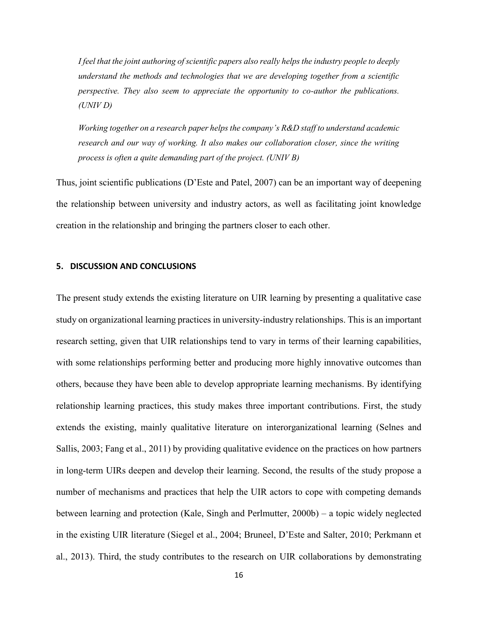*I feel that the joint authoring of scientific papers also really helps the industry people to deeply understand the methods and technologies that we are developing together from a scientific perspective. They also seem to appreciate the opportunity to co-author the publications. (UNIV D)* 

*Working together on a research paper helps the company's R&D staff to understand academic research and our way of working. It also makes our collaboration closer, since the writing process is often a quite demanding part of the project. (UNIV B)*

Thus, joint scientific publications (D'Este and Patel, 2007) can be an important way of deepening the relationship between university and industry actors, as well as facilitating joint knowledge creation in the relationship and bringing the partners closer to each other.

#### **5. DISCUSSION AND CONCLUSIONS**

The present study extends the existing literature on UIR learning by presenting a qualitative case study on organizational learning practices in university-industry relationships. This is an important research setting, given that UIR relationships tend to vary in terms of their learning capabilities, with some relationships performing better and producing more highly innovative outcomes than others, because they have been able to develop appropriate learning mechanisms. By identifying relationship learning practices, this study makes three important contributions. First, the study extends the existing, mainly qualitative literature on interorganizational learning (Selnes and Sallis, 2003; Fang et al., 2011) by providing qualitative evidence on the practices on how partners in long-term UIRs deepen and develop their learning. Second, the results of the study propose a number of mechanisms and practices that help the UIR actors to cope with competing demands between learning and protection (Kale, Singh and Perlmutter, 2000b) – a topic widely neglected in the existing UIR literature (Siegel et al., 2004; Bruneel, D'Este and Salter, 2010; Perkmann et al., 2013). Third, the study contributes to the research on UIR collaborations by demonstrating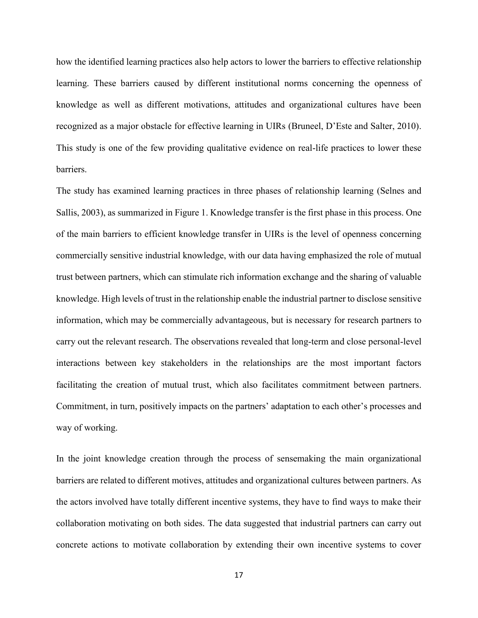how the identified learning practices also help actors to lower the barriers to effective relationship learning. These barriers caused by different institutional norms concerning the openness of knowledge as well as different motivations, attitudes and organizational cultures have been recognized as a major obstacle for effective learning in UIRs (Bruneel, D'Este and Salter, 2010). This study is one of the few providing qualitative evidence on real-life practices to lower these barriers.

The study has examined learning practices in three phases of relationship learning (Selnes and Sallis, 2003), as summarized in Figure 1. Knowledge transfer is the first phase in this process. One of the main barriers to efficient knowledge transfer in UIRs is the level of openness concerning commercially sensitive industrial knowledge, with our data having emphasized the role of mutual trust between partners, which can stimulate rich information exchange and the sharing of valuable knowledge. High levels of trust in the relationship enable the industrial partner to disclose sensitive information, which may be commercially advantageous, but is necessary for research partners to carry out the relevant research. The observations revealed that long-term and close personal-level interactions between key stakeholders in the relationships are the most important factors facilitating the creation of mutual trust, which also facilitates commitment between partners. Commitment, in turn, positively impacts on the partners' adaptation to each other's processes and way of working.

In the joint knowledge creation through the process of sensemaking the main organizational barriers are related to different motives, attitudes and organizational cultures between partners. As the actors involved have totally different incentive systems, they have to find ways to make their collaboration motivating on both sides. The data suggested that industrial partners can carry out concrete actions to motivate collaboration by extending their own incentive systems to cover

17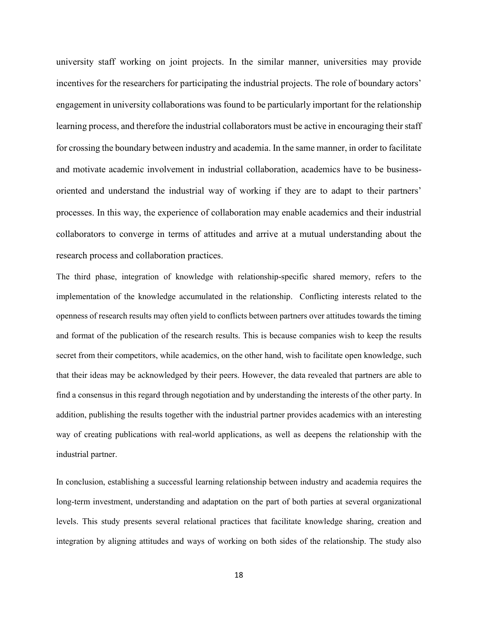university staff working on joint projects. In the similar manner, universities may provide incentives for the researchers for participating the industrial projects. The role of boundary actors' engagement in university collaborations was found to be particularly important for the relationship learning process, and therefore the industrial collaborators must be active in encouraging their staff for crossing the boundary between industry and academia. In the same manner, in order to facilitate and motivate academic involvement in industrial collaboration, academics have to be businessoriented and understand the industrial way of working if they are to adapt to their partners' processes. In this way, the experience of collaboration may enable academics and their industrial collaborators to converge in terms of attitudes and arrive at a mutual understanding about the research process and collaboration practices.

The third phase, integration of knowledge with relationship-specific shared memory, refers to the implementation of the knowledge accumulated in the relationship. Conflicting interests related to the openness of research results may often yield to conflicts between partners over attitudes towards the timing and format of the publication of the research results. This is because companies wish to keep the results secret from their competitors, while academics, on the other hand, wish to facilitate open knowledge, such that their ideas may be acknowledged by their peers. However, the data revealed that partners are able to find a consensus in this regard through negotiation and by understanding the interests of the other party. In addition, publishing the results together with the industrial partner provides academics with an interesting way of creating publications with real-world applications, as well as deepens the relationship with the industrial partner.

In conclusion, establishing a successful learning relationship between industry and academia requires the long-term investment, understanding and adaptation on the part of both parties at several organizational levels. This study presents several relational practices that facilitate knowledge sharing, creation and integration by aligning attitudes and ways of working on both sides of the relationship. The study also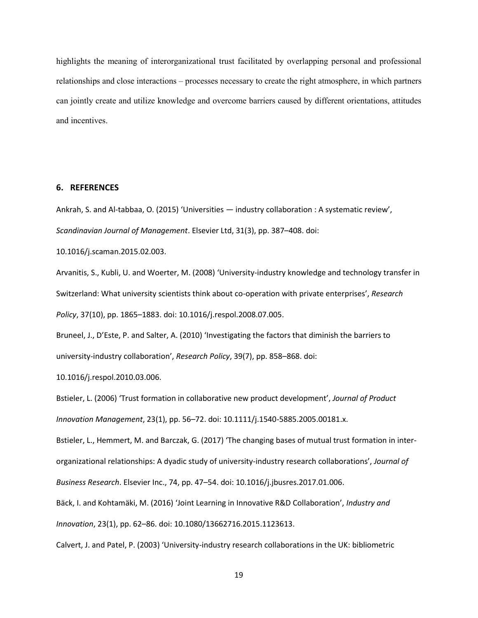highlights the meaning of interorganizational trust facilitated by overlapping personal and professional relationships and close interactions – processes necessary to create the right atmosphere, in which partners can jointly create and utilize knowledge and overcome barriers caused by different orientations, attitudes and incentives.

#### **6. REFERENCES**

Ankrah, S. and Al-tabbaa, O. (2015) 'Universities — industry collaboration : A systematic review',

*Scandinavian Journal of Management*. Elsevier Ltd, 31(3), pp. 387–408. doi:

10.1016/j.scaman.2015.02.003.

Arvanitis, S., Kubli, U. and Woerter, M. (2008) 'University-industry knowledge and technology transfer in Switzerland: What university scientists think about co-operation with private enterprises', *Research Policy*, 37(10), pp. 1865–1883. doi: 10.1016/j.respol.2008.07.005.

Bruneel, J., D'Este, P. and Salter, A. (2010) 'Investigating the factors that diminish the barriers to university-industry collaboration', *Research Policy*, 39(7), pp. 858–868. doi:

10.1016/j.respol.2010.03.006.

Bstieler, L. (2006) 'Trust formation in collaborative new product development', *Journal of Product Innovation Management*, 23(1), pp. 56–72. doi: 10.1111/j.1540-5885.2005.00181.x.

Bstieler, L., Hemmert, M. and Barczak, G. (2017) 'The changing bases of mutual trust formation in interorganizational relationships: A dyadic study of university-industry research collaborations', *Journal of Business Research*. Elsevier Inc., 74, pp. 47–54. doi: 10.1016/j.jbusres.2017.01.006.

Bäck, I. and Kohtamäki, M. (2016) 'Joint Learning in Innovative R&D Collaboration', *Industry and* 

*Innovation*, 23(1), pp. 62–86. doi: 10.1080/13662716.2015.1123613.

Calvert, J. and Patel, P. (2003) 'University-industry research collaborations in the UK: bibliometric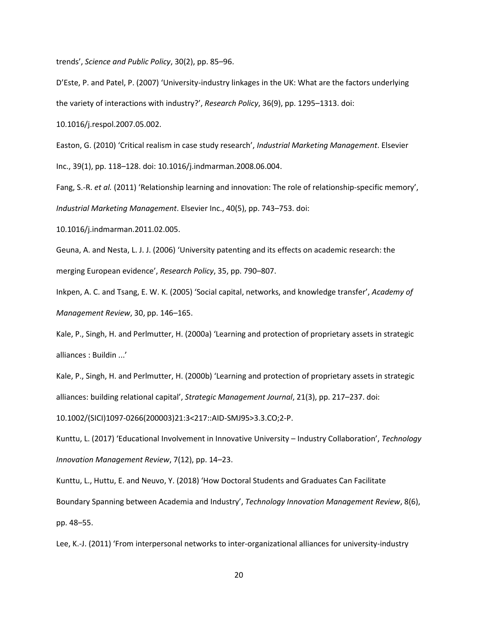trends', *Science and Public Policy*, 30(2), pp. 85–96.

D'Este, P. and Patel, P. (2007) 'University-industry linkages in the UK: What are the factors underlying

the variety of interactions with industry?', *Research Policy*, 36(9), pp. 1295–1313. doi:

10.1016/j.respol.2007.05.002.

Easton, G. (2010) 'Critical realism in case study research', *Industrial Marketing Management*. Elsevier Inc., 39(1), pp. 118–128. doi: 10.1016/j.indmarman.2008.06.004.

Fang, S.-R. *et al.* (2011) 'Relationship learning and innovation: The role of relationship-specific memory', *Industrial Marketing Management*. Elsevier Inc., 40(5), pp. 743–753. doi:

10.1016/j.indmarman.2011.02.005.

Geuna, A. and Nesta, L. J. J. (2006) 'University patenting and its effects on academic research: the merging European evidence', *Research Policy*, 35, pp. 790–807.

Inkpen, A. C. and Tsang, E. W. K. (2005) 'Social capital, networks, and knowledge transfer', *Academy of Management Review*, 30, pp. 146–165.

Kale, P., Singh, H. and Perlmutter, H. (2000a) 'Learning and protection of proprietary assets in strategic alliances : Buildin ...'

Kale, P., Singh, H. and Perlmutter, H. (2000b) 'Learning and protection of proprietary assets in strategic alliances: building relational capital', *Strategic Management Journal*, 21(3), pp. 217–237. doi:

10.1002/(SICI)1097-0266(200003)21:3<217::AID-SMJ95>3.3.CO;2-P.

Kunttu, L. (2017) 'Educational Involvement in Innovative University – Industry Collaboration', *Technology Innovation Management Review*, 7(12), pp. 14–23.

Kunttu, L., Huttu, E. and Neuvo, Y. (2018) 'How Doctoral Students and Graduates Can Facilitate Boundary Spanning between Academia and Industry', *Technology Innovation Management Review*, 8(6), pp. 48–55.

Lee, K.-J. (2011) 'From interpersonal networks to inter-organizational alliances for university-industry

20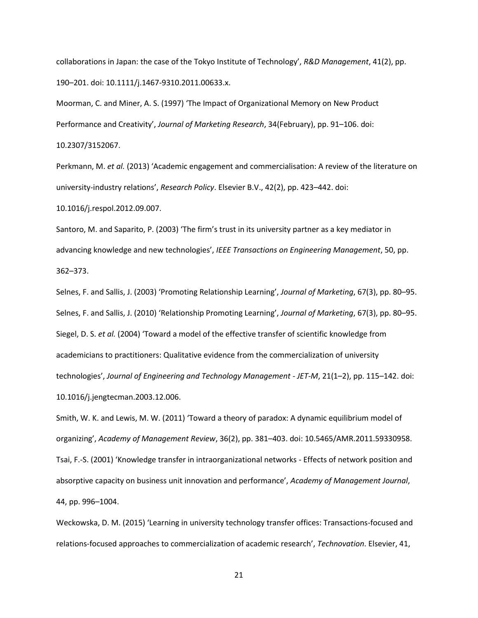collaborations in Japan: the case of the Tokyo Institute of Technology', *R&D Management*, 41(2), pp. 190–201. doi: 10.1111/j.1467-9310.2011.00633.x.

Moorman, C. and Miner, A. S. (1997) 'The Impact of Organizational Memory on New Product Performance and Creativity', *Journal of Marketing Research*, 34(February), pp. 91–106. doi: 10.2307/3152067.

Perkmann, M. *et al.* (2013) 'Academic engagement and commercialisation: A review of the literature on university-industry relations', *Research Policy*. Elsevier B.V., 42(2), pp. 423–442. doi:

10.1016/j.respol.2012.09.007.

Santoro, M. and Saparito, P. (2003) 'The firm's trust in its university partner as a key mediator in advancing knowledge and new technologies', *IEEE Transactions on Engineering Management*, 50, pp. 362–373.

Selnes, F. and Sallis, J. (2003) 'Promoting Relationship Learning', *Journal of Marketing*, 67(3), pp. 80–95. Selnes, F. and Sallis, J. (2010) 'Relationship Promoting Learning', *Journal of Marketing*, 67(3), pp. 80–95. Siegel, D. S. *et al.* (2004) 'Toward a model of the effective transfer of scientific knowledge from academicians to practitioners: Qualitative evidence from the commercialization of university technologies', *Journal of Engineering and Technology Management - JET-M*, 21(1–2), pp. 115–142. doi: 10.1016/j.jengtecman.2003.12.006.

Smith, W. K. and Lewis, M. W. (2011) 'Toward a theory of paradox: A dynamic equilibrium model of organizing', *Academy of Management Review*, 36(2), pp. 381–403. doi: 10.5465/AMR.2011.59330958. Tsai, F.-S. (2001) 'Knowledge transfer in intraorganizational networks - Effects of network position and absorptive capacity on business unit innovation and performance', *Academy of Management Journal*, 44, pp. 996–1004.

Weckowska, D. M. (2015) 'Learning in university technology transfer offices: Transactions-focused and relations-focused approaches to commercialization of academic research', *Technovation*. Elsevier, 41,

21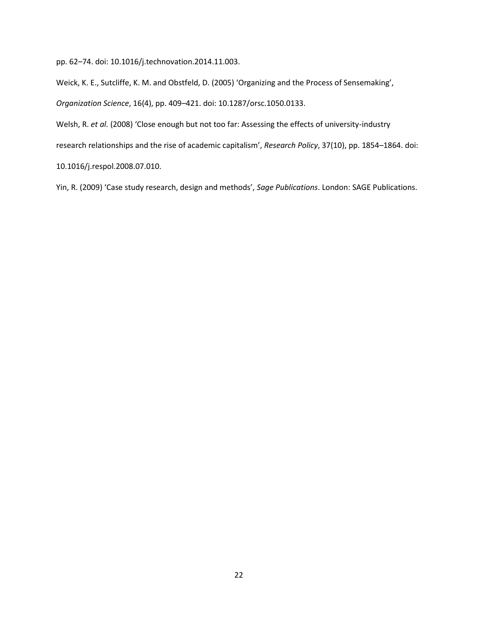pp. 62–74. doi: 10.1016/j.technovation.2014.11.003.

Weick, K. E., Sutcliffe, K. M. and Obstfeld, D. (2005) 'Organizing and the Process of Sensemaking', *Organization Science*, 16(4), pp. 409–421. doi: 10.1287/orsc.1050.0133.

Welsh, R. *et al.* (2008) 'Close enough but not too far: Assessing the effects of university-industry research relationships and the rise of academic capitalism', *Research Policy*, 37(10), pp. 1854–1864. doi: 10.1016/j.respol.2008.07.010.

Yin, R. (2009) 'Case study research, design and methods', *Sage Publications*. London: SAGE Publications.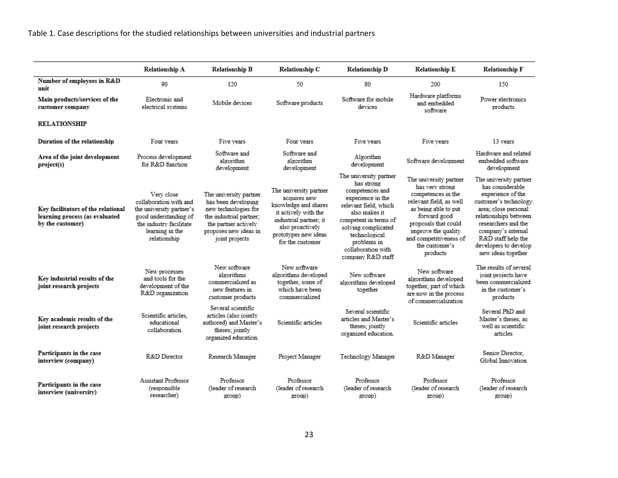|                                                                                          | <b>Relationship A</b>                                                                                                                                   | <b>Relationship B</b>                                                                                                                                               | Relationship C                                                                                                                                                                   | <b>Relationship D</b>                                                                                                                                                                                                                             | <b>Relationship E</b>                                                                                                                                                                                                                     | <b>Relationship F</b>                                                                                                                                                                                                                                       |
|------------------------------------------------------------------------------------------|---------------------------------------------------------------------------------------------------------------------------------------------------------|---------------------------------------------------------------------------------------------------------------------------------------------------------------------|----------------------------------------------------------------------------------------------------------------------------------------------------------------------------------|---------------------------------------------------------------------------------------------------------------------------------------------------------------------------------------------------------------------------------------------------|-------------------------------------------------------------------------------------------------------------------------------------------------------------------------------------------------------------------------------------------|-------------------------------------------------------------------------------------------------------------------------------------------------------------------------------------------------------------------------------------------------------------|
| Number of employees in R&D<br>unit                                                       | 90                                                                                                                                                      | 120                                                                                                                                                                 | 50                                                                                                                                                                               | 80                                                                                                                                                                                                                                                | 200                                                                                                                                                                                                                                       | 150                                                                                                                                                                                                                                                         |
| Main products/services of the<br>customer company                                        | Electronic and<br>electrical systems                                                                                                                    | Mobile devices                                                                                                                                                      | Software products                                                                                                                                                                | Software for mobile<br>devices                                                                                                                                                                                                                    | Hardware platforms<br>and embedded<br>software                                                                                                                                                                                            | Power electronics<br>products                                                                                                                                                                                                                               |
| <b>RELATIONSHIP</b>                                                                      |                                                                                                                                                         |                                                                                                                                                                     |                                                                                                                                                                                  |                                                                                                                                                                                                                                                   |                                                                                                                                                                                                                                           |                                                                                                                                                                                                                                                             |
| Duration of the relationship                                                             | Four vears                                                                                                                                              | Five years                                                                                                                                                          | Four vears                                                                                                                                                                       | Five years                                                                                                                                                                                                                                        | Five years                                                                                                                                                                                                                                | 13 vears                                                                                                                                                                                                                                                    |
| Area of the joint development<br>project(s)                                              | Process development<br>for R&D function                                                                                                                 | Software and<br>algorithm<br>development                                                                                                                            | Software and<br>algorithm<br>development                                                                                                                                         | Algorithm<br>development                                                                                                                                                                                                                          | Software development                                                                                                                                                                                                                      | Hardware and related<br>embedded software<br>development                                                                                                                                                                                                    |
| Key facilitators of the relational<br>learning process (as evaluated<br>by the customer) | Very close<br>collaboration with and<br>the university partner's<br>good understanding of<br>the industry facilitate<br>learning in the<br>relationship | The university partner<br>has been developing<br>new technologies for<br>the industrial partner;<br>the partner actively<br>proposes new ideas in<br>joint projects | The university partner<br>acquires new<br>knowledge and shares<br>it actively with the<br>industrial partner; it<br>also proactively<br>prototypes new ideas<br>for the customer | The university partner<br>has strong<br>competences and<br>experience in the<br>relevant field, which<br>also makes it<br>competent in terms of<br>solving complicated<br>technological<br>problems in<br>collaboration with<br>company R&D staff | The university partner<br>has very strong<br>competences in the<br>relevant field, as well<br>as being able to put<br>forward good<br>proposals that could<br>improve the quality<br>and competitiveness of<br>the customer's<br>products | The university partner<br>has considerable<br>experience of the<br>customer's technology<br>area; close personal<br>relationships between<br>researchers and the<br>company's internal<br>R&D staff help the<br>developers to develop<br>new ideas together |
| Key industrial results of the<br>joint research projects                                 | New processes<br>and tools for the<br>development of the<br>R&D organization                                                                            | New software<br>algorithms<br>commercialized as<br>new features in<br>customer products                                                                             | New software<br>algorithms developed<br>together, some of<br>which have been<br>commercialized                                                                                   | New software<br>algorithms developed<br>together                                                                                                                                                                                                  | New software<br>algorithms developed<br>together, part of which<br>are now in the process<br>of commercialization                                                                                                                         | The results of several<br>joint projects have<br>been commercialized<br>in the customer's<br>products                                                                                                                                                       |
| Key academic results of the<br>joint research projects                                   | Scientific articles.<br>educational<br>collaboration                                                                                                    | Several scientific<br>articles (also jointly<br>authored) and Master's<br>theses; jointly<br>organized education.                                                   | Scientific articles                                                                                                                                                              | Several scientific<br>articles and Master's<br>theses; jointly<br>organized education.                                                                                                                                                            | Scientific articles                                                                                                                                                                                                                       | Several PhD and<br>Master's theses, as<br>well as scientific<br>articles                                                                                                                                                                                    |
| Participants in the case<br>interview (company)                                          | R&D Director                                                                                                                                            | Research Manager                                                                                                                                                    | Project Manager                                                                                                                                                                  | Technology Manager                                                                                                                                                                                                                                | R&D Manager                                                                                                                                                                                                                               | Senior Director.<br>Global Innovation                                                                                                                                                                                                                       |
| Participants in the case<br>interview (university)                                       | Assistant Professor<br>(responsible<br>researcher)                                                                                                      | Professor<br>(leader of research<br>group)                                                                                                                          | Professor<br>(leader of research<br>group)                                                                                                                                       | Professor<br>(leader of research<br>group)                                                                                                                                                                                                        | Professor<br>(leader of research<br>group)                                                                                                                                                                                                | Professor<br>(leader of research<br>group)                                                                                                                                                                                                                  |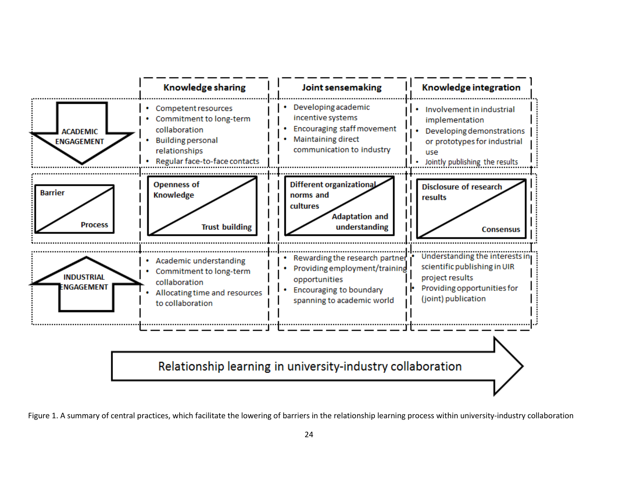

Figure 1. A summary of central practices, which facilitate the lowering of barriers in the relationship learning process within university-industry collaboration